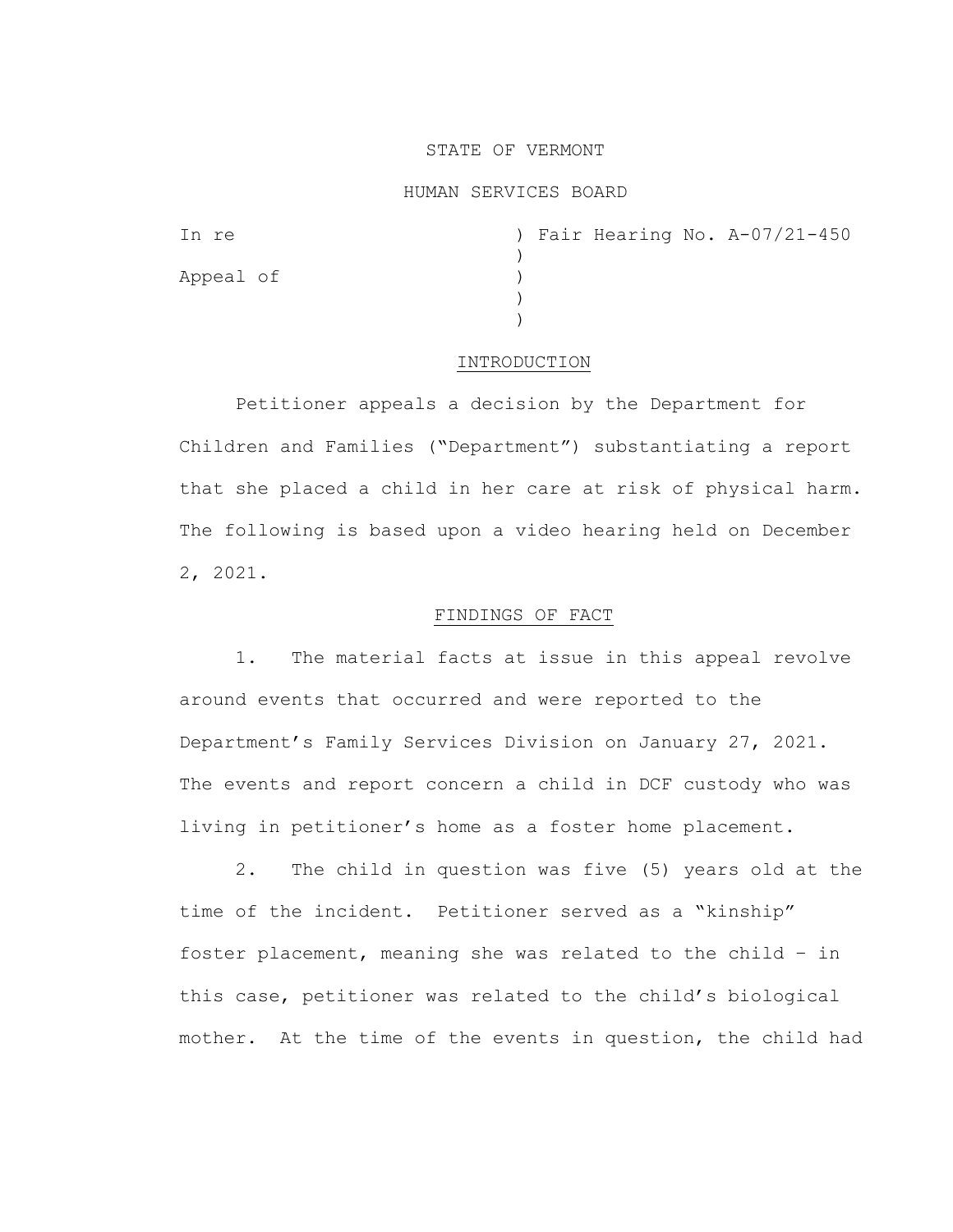### STATE OF VERMONT

### HUMAN SERVICES BOARD

| In re     |  |  | ) Fair Hearing No. A-07/21-450 |
|-----------|--|--|--------------------------------|
|           |  |  |                                |
| Appeal of |  |  |                                |
|           |  |  |                                |
|           |  |  |                                |

### INTRODUCTION

Petitioner appeals a decision by the Department for Children and Families ("Department") substantiating a report that she placed a child in her care at risk of physical harm. The following is based upon a video hearing held on December 2, 2021.

# FINDINGS OF FACT

1. The material facts at issue in this appeal revolve around events that occurred and were reported to the Department's Family Services Division on January 27, 2021. The events and report concern a child in DCF custody who was living in petitioner's home as a foster home placement.

2. The child in question was five (5) years old at the time of the incident. Petitioner served as a "kinship" foster placement, meaning she was related to the child – in this case, petitioner was related to the child's biological mother. At the time of the events in question, the child had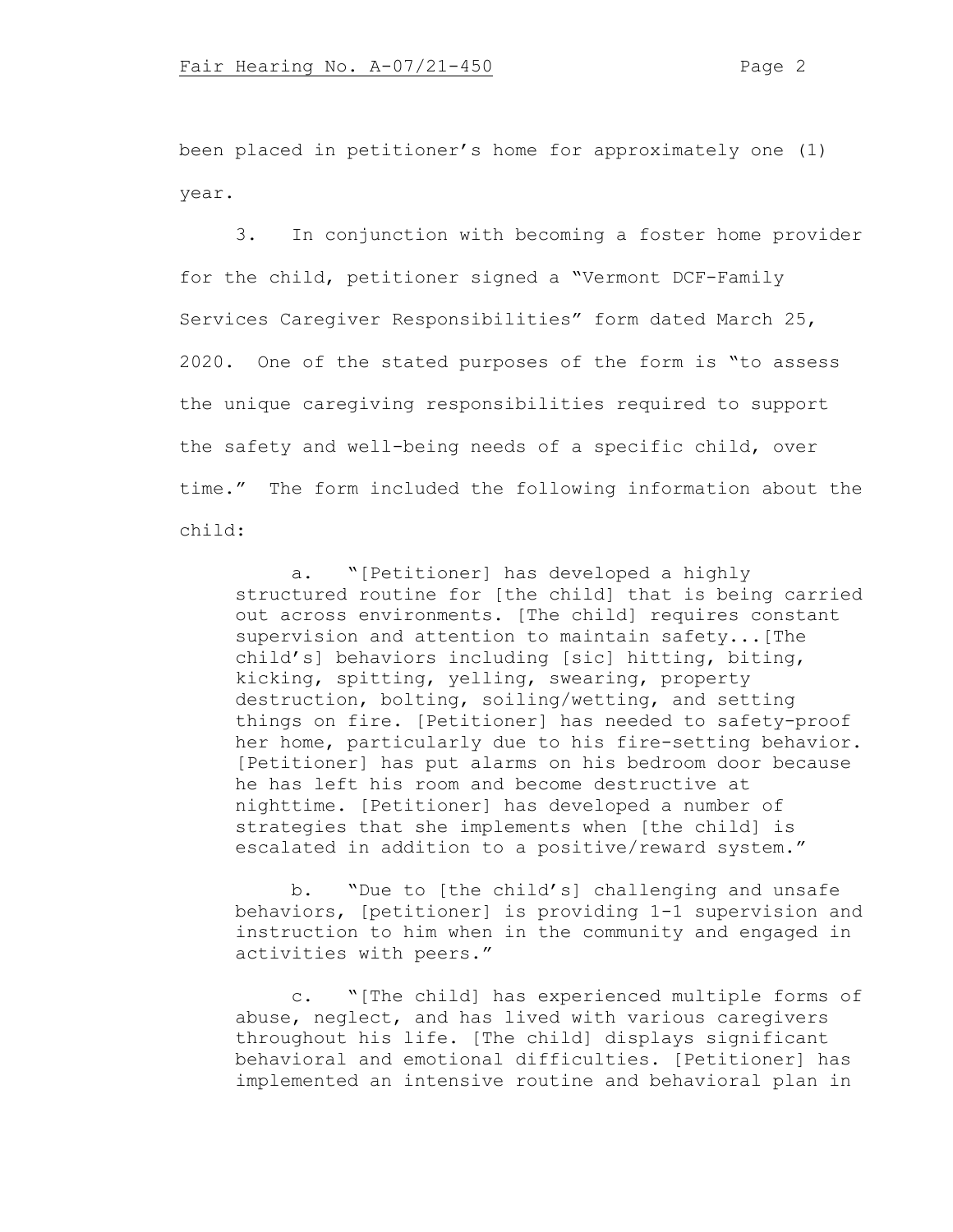been placed in petitioner's home for approximately one (1) year.

3. In conjunction with becoming a foster home provider for the child, petitioner signed a "Vermont DCF-Family Services Caregiver Responsibilities" form dated March 25, 2020. One of the stated purposes of the form is "to assess the unique caregiving responsibilities required to support the safety and well-being needs of a specific child, over time." The form included the following information about the child:

a. "[Petitioner] has developed a highly structured routine for [the child] that is being carried out across environments. [The child] requires constant supervision and attention to maintain safety...[The child's] behaviors including [sic] hitting, biting, kicking, spitting, yelling, swearing, property destruction, bolting, soiling/wetting, and setting things on fire. [Petitioner] has needed to safety-proof her home, particularly due to his fire-setting behavior. [Petitioner] has put alarms on his bedroom door because he has left his room and become destructive at nighttime. [Petitioner] has developed a number of strategies that she implements when [the child] is escalated in addition to a positive/reward system."

b. "Due to [the child's] challenging and unsafe behaviors, [petitioner] is providing 1-1 supervision and instruction to him when in the community and engaged in activities with peers."

c. "[The child] has experienced multiple forms of abuse, neglect, and has lived with various caregivers throughout his life. [The child] displays significant behavioral and emotional difficulties. [Petitioner] has implemented an intensive routine and behavioral plan in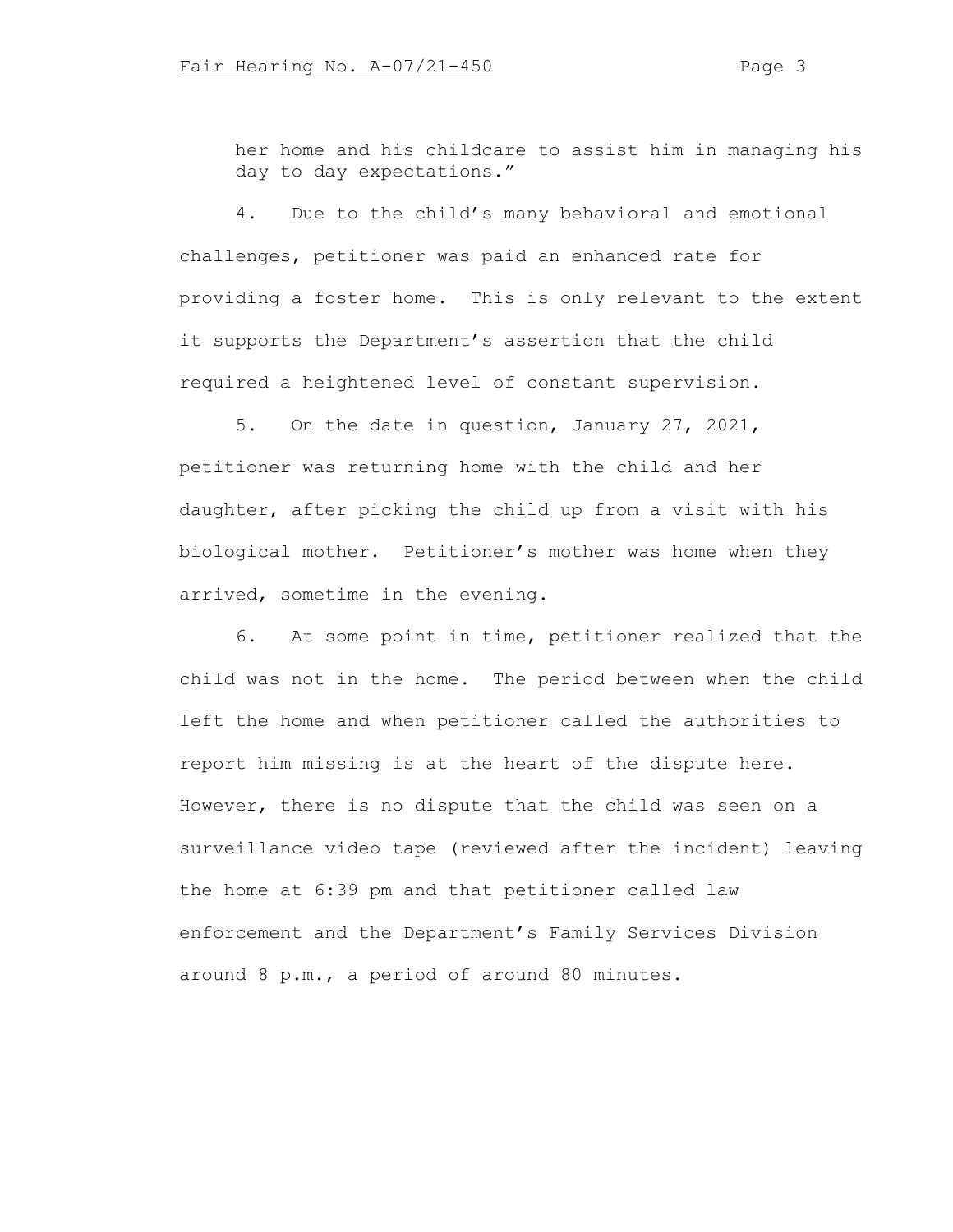her home and his childcare to assist him in managing his day to day expectations."

4. Due to the child's many behavioral and emotional challenges, petitioner was paid an enhanced rate for providing a foster home. This is only relevant to the extent it supports the Department's assertion that the child required a heightened level of constant supervision.

5. On the date in question, January 27, 2021, petitioner was returning home with the child and her daughter, after picking the child up from a visit with his biological mother. Petitioner's mother was home when they arrived, sometime in the evening.

6. At some point in time, petitioner realized that the child was not in the home. The period between when the child left the home and when petitioner called the authorities to report him missing is at the heart of the dispute here. However, there is no dispute that the child was seen on a surveillance video tape (reviewed after the incident) leaving the home at 6:39 pm and that petitioner called law enforcement and the Department's Family Services Division around 8 p.m., a period of around 80 minutes.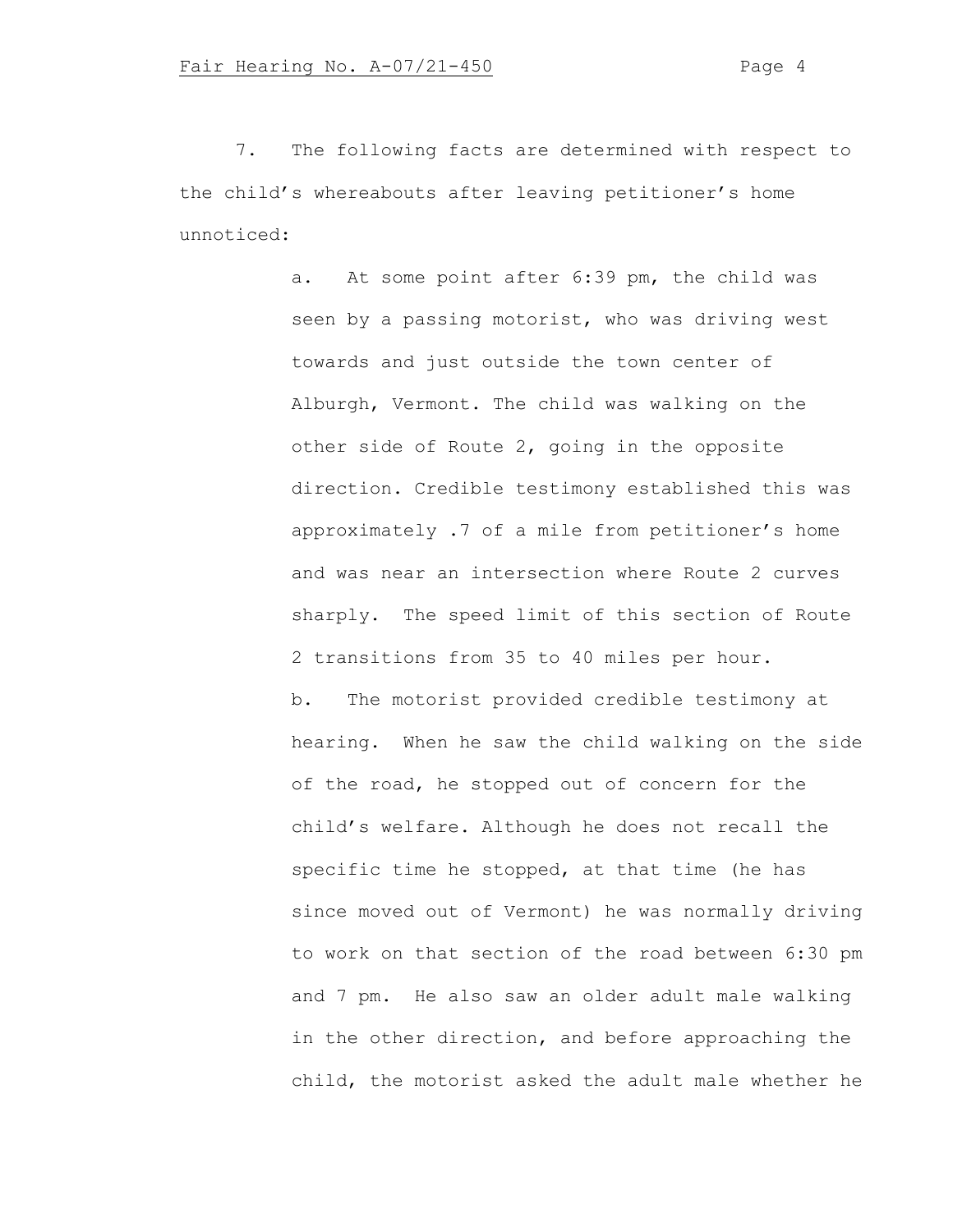7. The following facts are determined with respect to the child's whereabouts after leaving petitioner's home unnoticed:

> a. At some point after 6:39 pm, the child was seen by a passing motorist, who was driving west towards and just outside the town center of Alburgh, Vermont. The child was walking on the other side of Route 2, going in the opposite direction. Credible testimony established this was approximately .7 of a mile from petitioner's home and was near an intersection where Route 2 curves sharply. The speed limit of this section of Route 2 transitions from 35 to 40 miles per hour. b. The motorist provided credible testimony at hearing. When he saw the child walking on the side of the road, he stopped out of concern for the child's welfare. Although he does not recall the specific time he stopped, at that time (he has since moved out of Vermont) he was normally driving to work on that section of the road between 6:30 pm and 7 pm. He also saw an older adult male walking in the other direction, and before approaching the child, the motorist asked the adult male whether he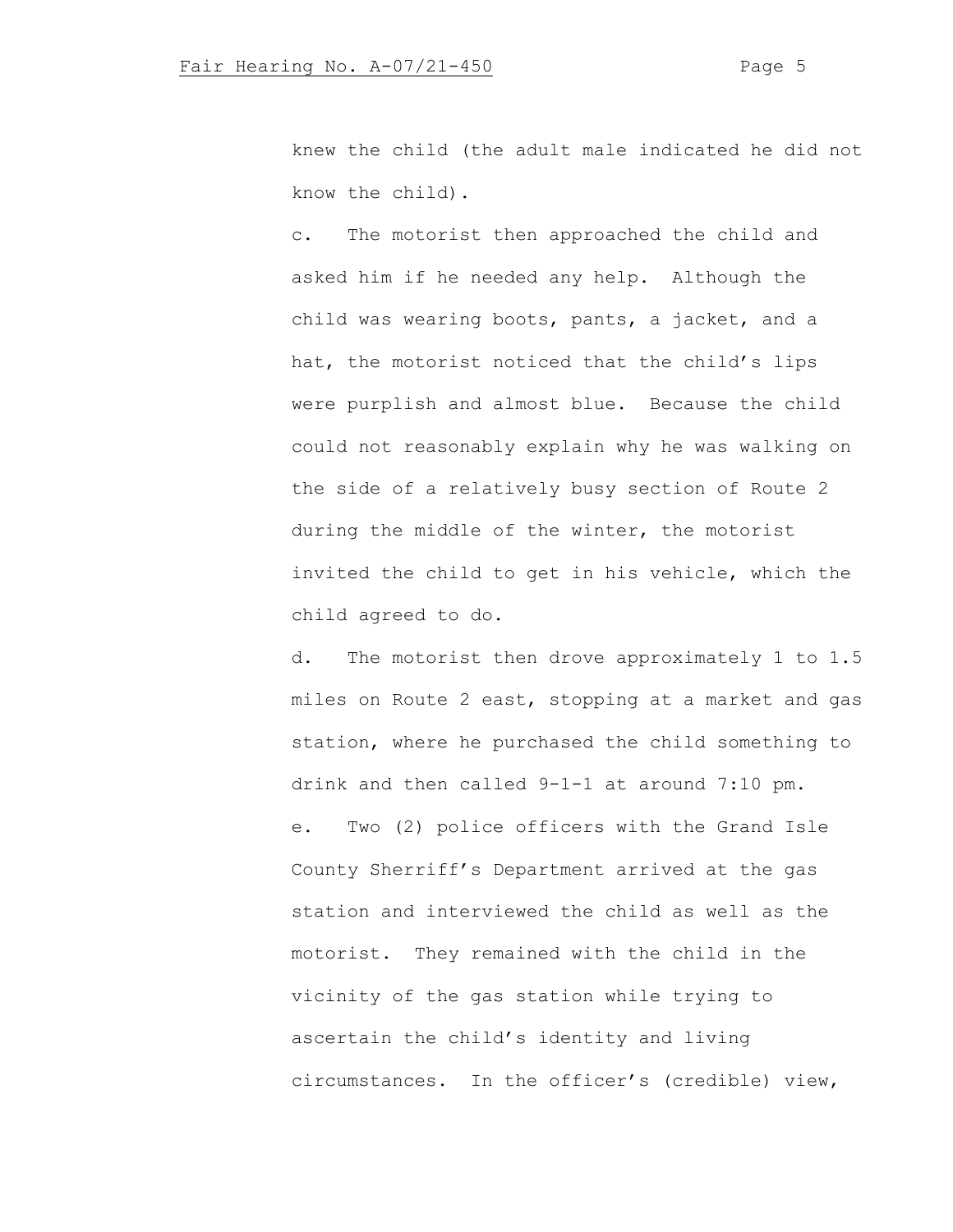knew the child (the adult male indicated he did not know the child).

c. The motorist then approached the child and asked him if he needed any help. Although the child was wearing boots, pants, a jacket, and a hat, the motorist noticed that the child's lips were purplish and almost blue. Because the child could not reasonably explain why he was walking on the side of a relatively busy section of Route 2 during the middle of the winter, the motorist invited the child to get in his vehicle, which the child agreed to do.

d. The motorist then drove approximately 1 to 1.5 miles on Route 2 east, stopping at a market and gas station, where he purchased the child something to drink and then called 9-1-1 at around 7:10 pm. e. Two (2) police officers with the Grand Isle County Sherriff's Department arrived at the gas station and interviewed the child as well as the motorist. They remained with the child in the vicinity of the gas station while trying to ascertain the child's identity and living circumstances. In the officer's (credible) view,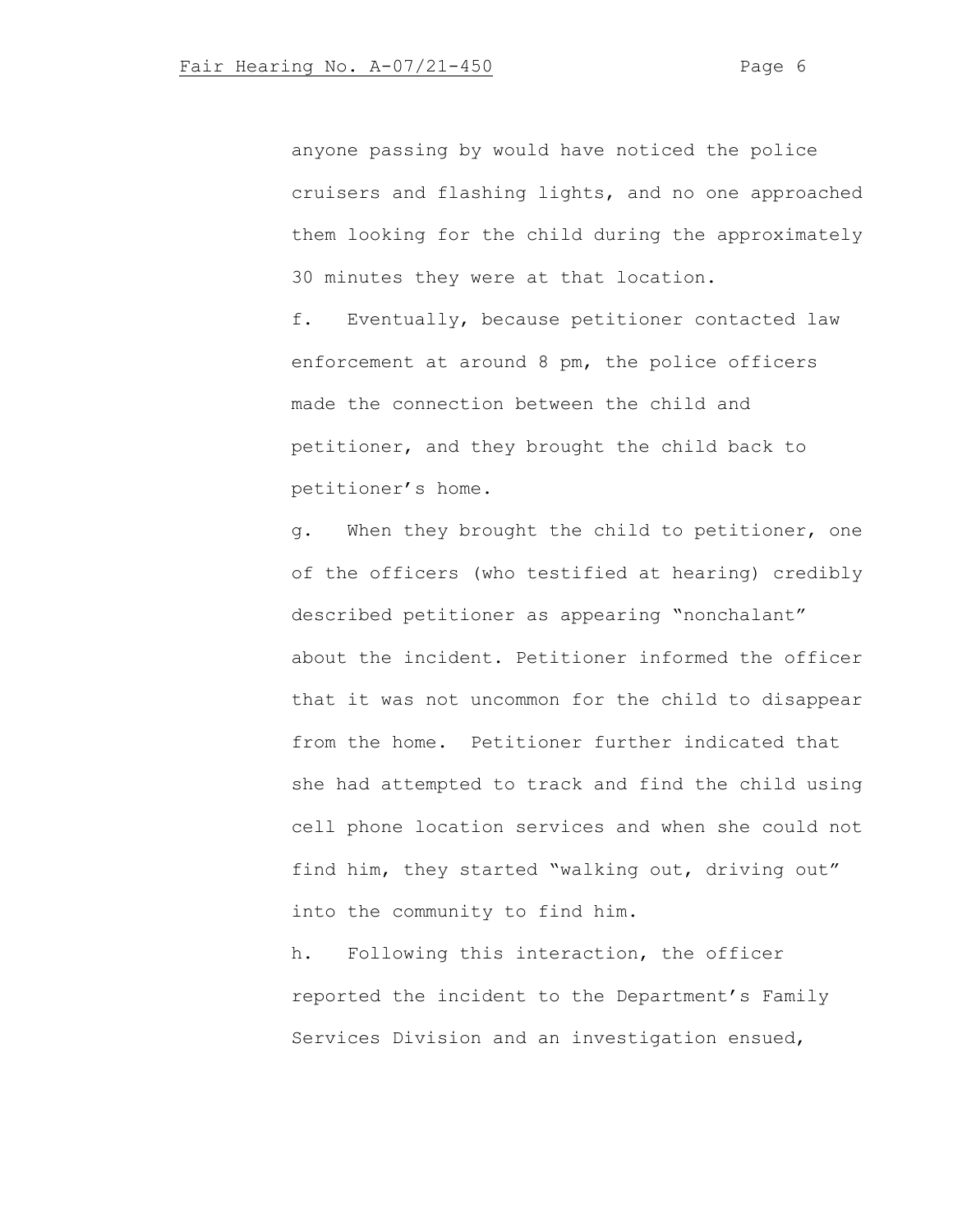anyone passing by would have noticed the police cruisers and flashing lights, and no one approached them looking for the child during the approximately 30 minutes they were at that location.

f. Eventually, because petitioner contacted law enforcement at around 8 pm, the police officers made the connection between the child and petitioner, and they brought the child back to petitioner's home.

g. When they brought the child to petitioner, one of the officers (who testified at hearing) credibly described petitioner as appearing "nonchalant" about the incident. Petitioner informed the officer that it was not uncommon for the child to disappear from the home. Petitioner further indicated that she had attempted to track and find the child using cell phone location services and when she could not find him, they started "walking out, driving out" into the community to find him.

h. Following this interaction, the officer reported the incident to the Department's Family Services Division and an investigation ensued,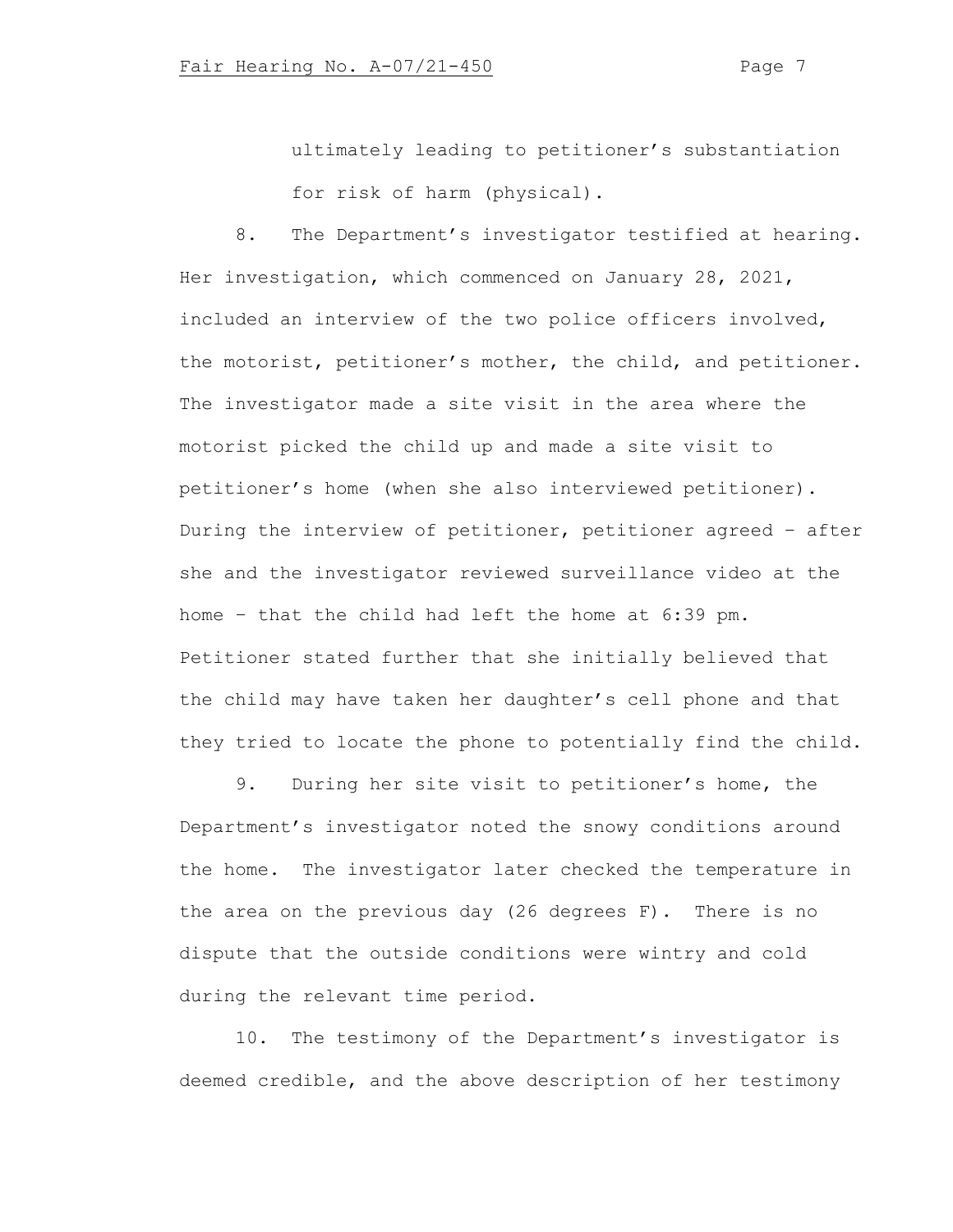ultimately leading to petitioner's substantiation for risk of harm (physical).

8. The Department's investigator testified at hearing. Her investigation, which commenced on January 28, 2021, included an interview of the two police officers involved, the motorist, petitioner's mother, the child, and petitioner. The investigator made a site visit in the area where the motorist picked the child up and made a site visit to petitioner's home (when she also interviewed petitioner). During the interview of petitioner, petitioner agreed – after she and the investigator reviewed surveillance video at the home – that the child had left the home at 6:39 pm. Petitioner stated further that she initially believed that the child may have taken her daughter's cell phone and that they tried to locate the phone to potentially find the child.

9. During her site visit to petitioner's home, the Department's investigator noted the snowy conditions around the home. The investigator later checked the temperature in the area on the previous day (26 degrees F). There is no dispute that the outside conditions were wintry and cold during the relevant time period.

10. The testimony of the Department's investigator is deemed credible, and the above description of her testimony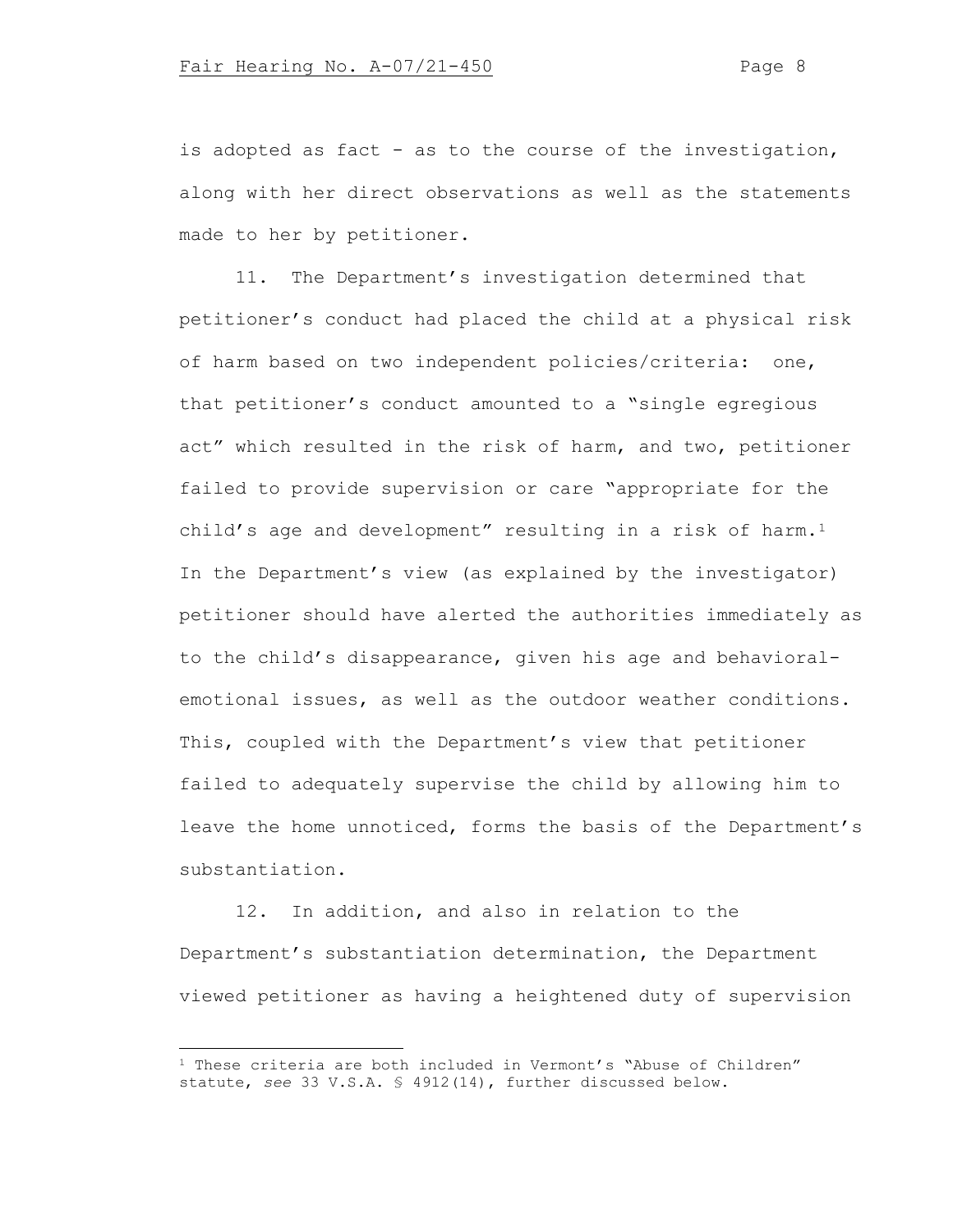is adopted as fact - as to the course of the investigation, along with her direct observations as well as the statements made to her by petitioner.

11. The Department's investigation determined that petitioner's conduct had placed the child at a physical risk of harm based on two independent policies/criteria: one, that petitioner's conduct amounted to a "single egregious act" which resulted in the risk of harm, and two, petitioner failed to provide supervision or care "appropriate for the child's age and development" resulting in a risk of harm.<sup>1</sup> In the Department's view (as explained by the investigator) petitioner should have alerted the authorities immediately as to the child's disappearance, given his age and behavioralemotional issues, as well as the outdoor weather conditions. This, coupled with the Department's view that petitioner failed to adequately supervise the child by allowing him to leave the home unnoticed, forms the basis of the Department's substantiation.

12. In addition, and also in relation to the Department's substantiation determination, the Department viewed petitioner as having a heightened duty of supervision

<span id="page-7-0"></span> $1$  These criteria are both included in Vermont's "Abuse of Children" statute, *see* 33 V.S.A. § 4912(14), further discussed below.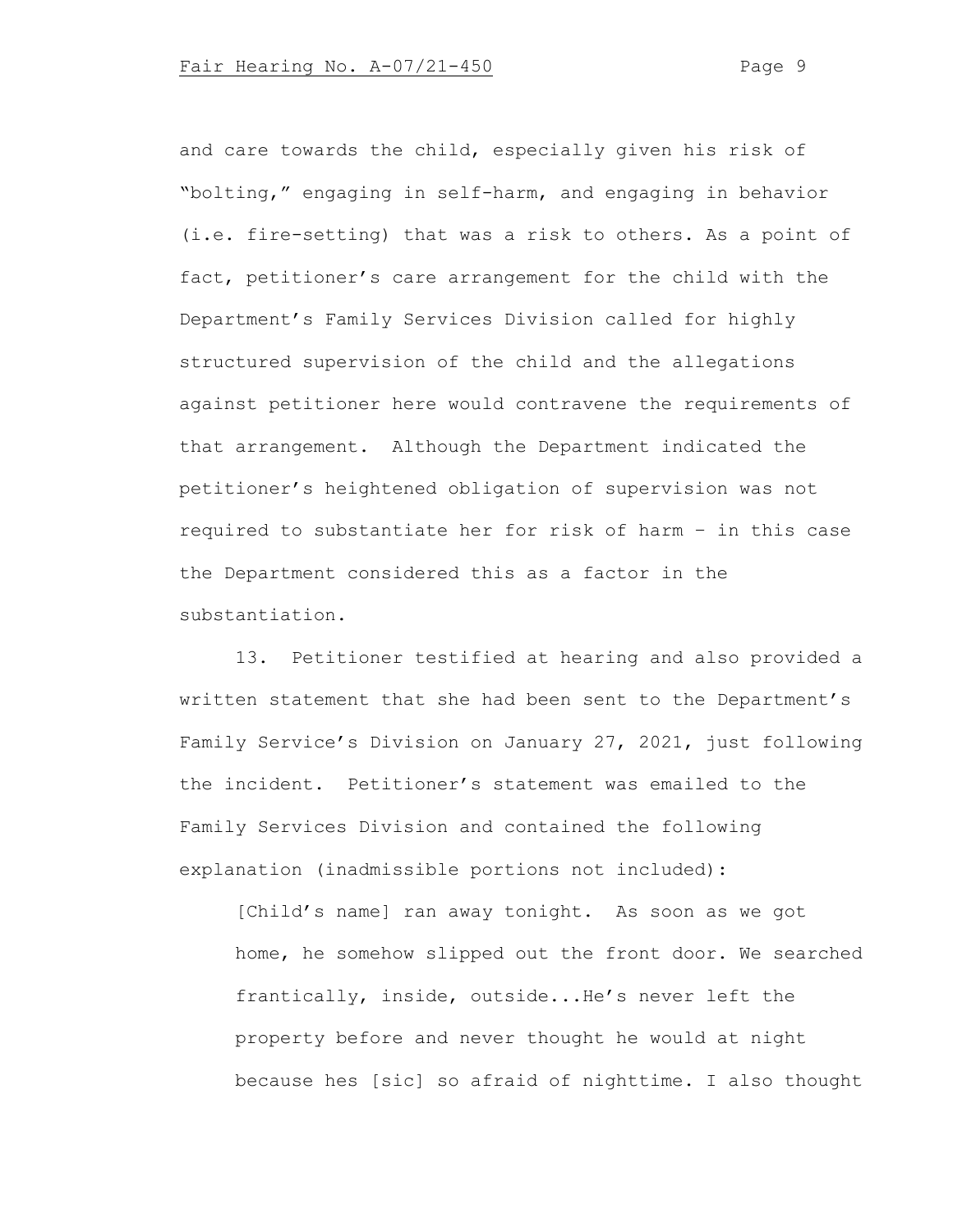and care towards the child, especially given his risk of "bolting," engaging in self-harm, and engaging in behavior (i.e. fire-setting) that was a risk to others. As a point of fact, petitioner's care arrangement for the child with the Department's Family Services Division called for highly structured supervision of the child and the allegations against petitioner here would contravene the requirements of that arrangement. Although the Department indicated the petitioner's heightened obligation of supervision was not required to substantiate her for risk of harm – in this case the Department considered this as a factor in the substantiation.

13. Petitioner testified at hearing and also provided a written statement that she had been sent to the Department's Family Service's Division on January 27, 2021, just following the incident. Petitioner's statement was emailed to the Family Services Division and contained the following explanation (inadmissible portions not included):

[Child's name] ran away tonight. As soon as we got home, he somehow slipped out the front door. We searched frantically, inside, outside...He's never left the property before and never thought he would at night because hes [sic] so afraid of nighttime. I also thought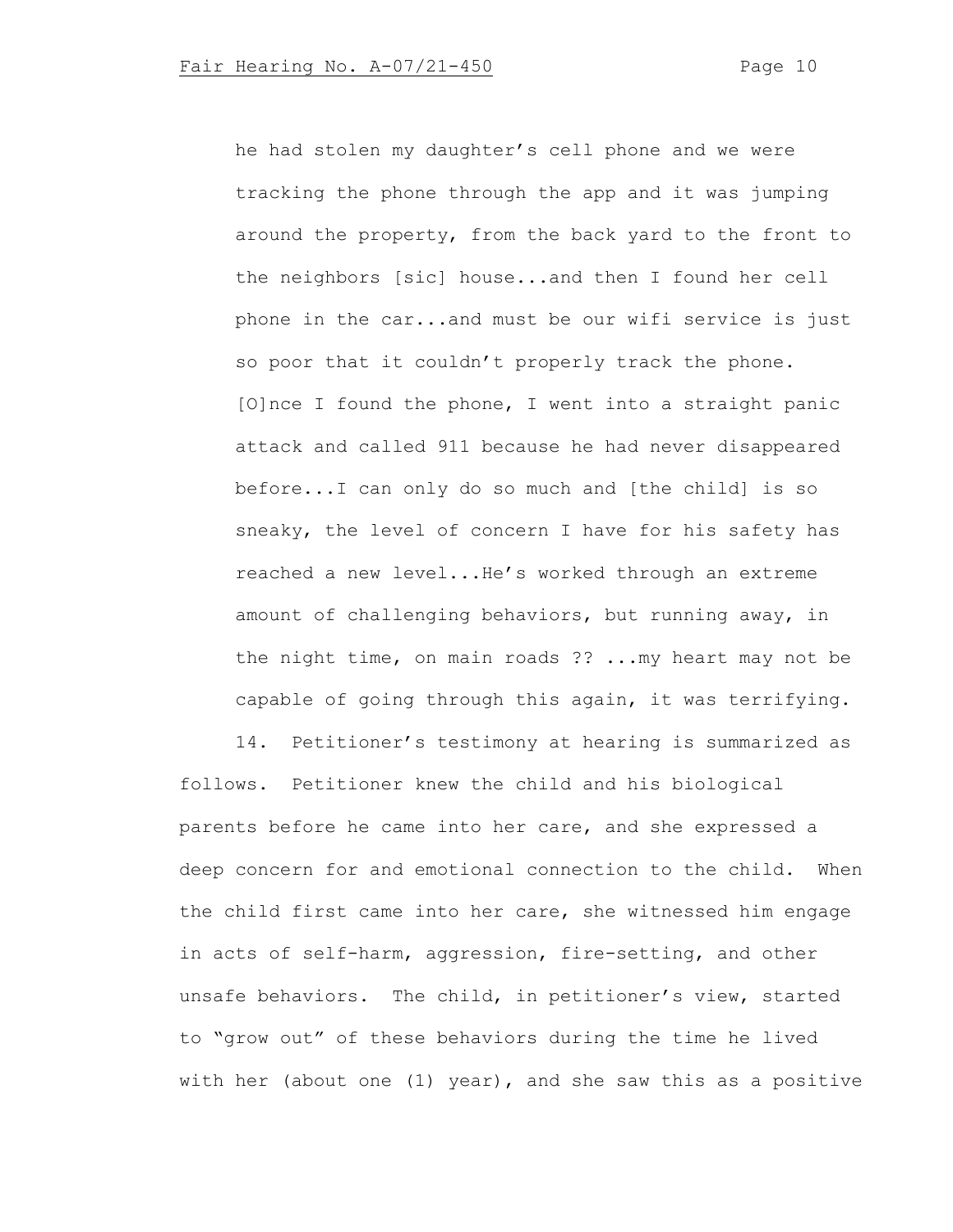he had stolen my daughter's cell phone and we were tracking the phone through the app and it was jumping around the property, from the back yard to the front to the neighbors [sic] house...and then I found her cell phone in the car...and must be our wifi service is just so poor that it couldn't properly track the phone. [O]nce I found the phone, I went into a straight panic attack and called 911 because he had never disappeared before...I can only do so much and [the child] is so sneaky, the level of concern I have for his safety has reached a new level...He's worked through an extreme amount of challenging behaviors, but running away, in the night time, on main roads ?? ...my heart may not be capable of going through this again, it was terrifying.

14. Petitioner's testimony at hearing is summarized as follows. Petitioner knew the child and his biological parents before he came into her care, and she expressed a deep concern for and emotional connection to the child. When the child first came into her care, she witnessed him engage in acts of self-harm, aggression, fire-setting, and other unsafe behaviors. The child, in petitioner's view, started to "grow out" of these behaviors during the time he lived with her (about one (1) year), and she saw this as a positive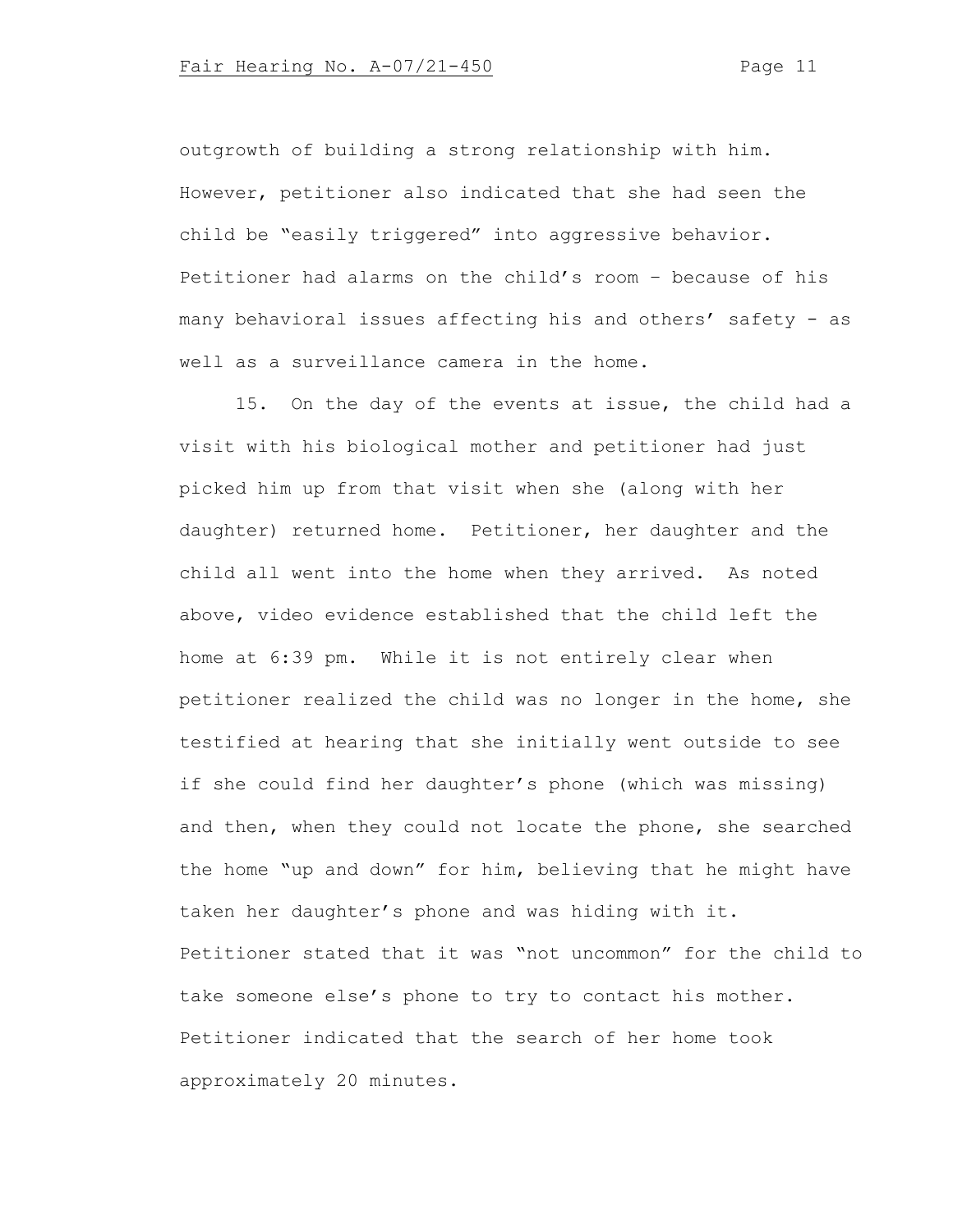outgrowth of building a strong relationship with him. However, petitioner also indicated that she had seen the child be "easily triggered" into aggressive behavior. Petitioner had alarms on the child's room – because of his many behavioral issues affecting his and others' safety - as well as a surveillance camera in the home.

15. On the day of the events at issue, the child had a visit with his biological mother and petitioner had just picked him up from that visit when she (along with her daughter) returned home. Petitioner, her daughter and the child all went into the home when they arrived. As noted above, video evidence established that the child left the home at 6:39 pm. While it is not entirely clear when petitioner realized the child was no longer in the home, she testified at hearing that she initially went outside to see if she could find her daughter's phone (which was missing) and then, when they could not locate the phone, she searched the home "up and down" for him, believing that he might have taken her daughter's phone and was hiding with it. Petitioner stated that it was "not uncommon" for the child to take someone else's phone to try to contact his mother. Petitioner indicated that the search of her home took approximately 20 minutes.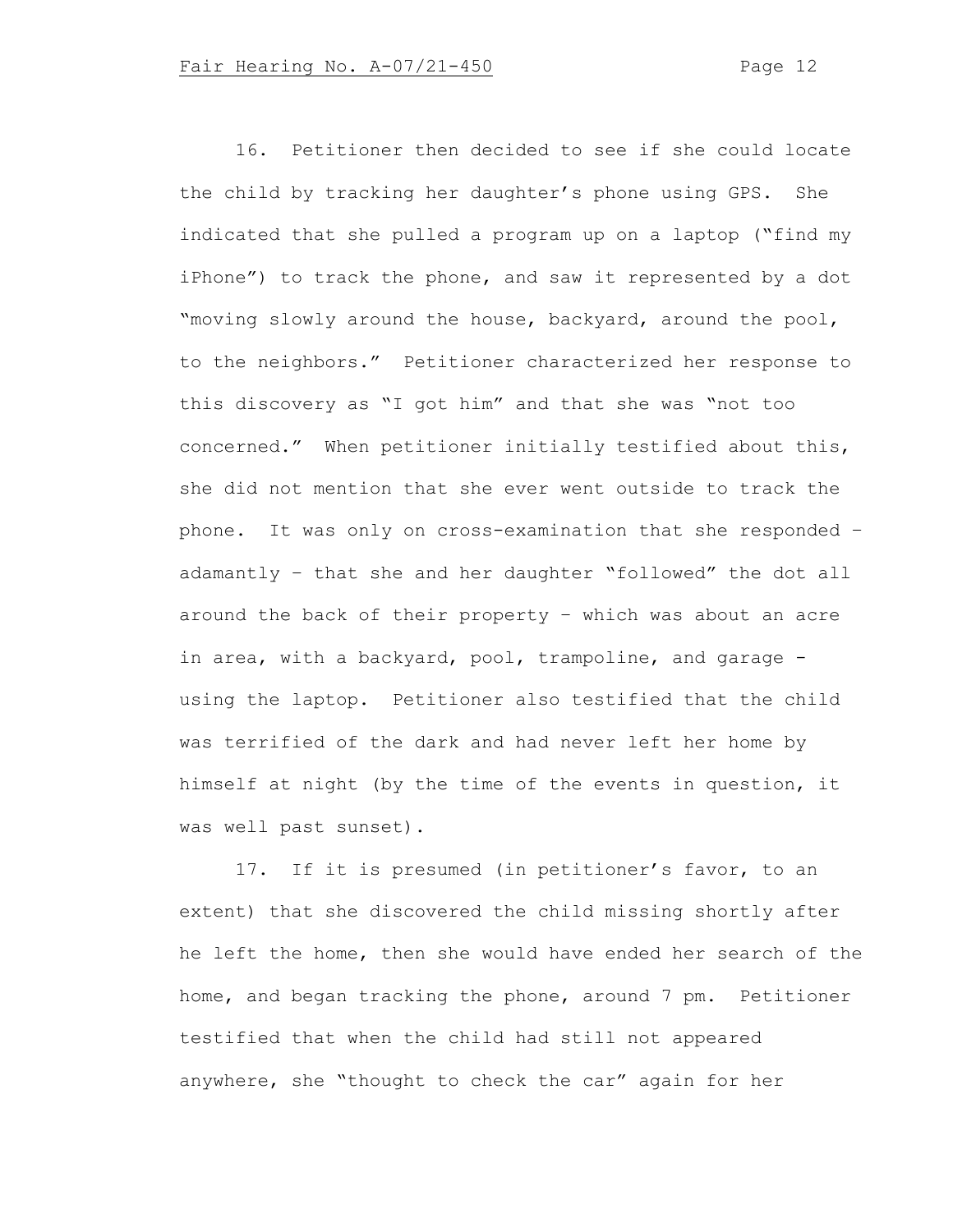16. Petitioner then decided to see if she could locate the child by tracking her daughter's phone using GPS. She indicated that she pulled a program up on a laptop ("find my iPhone") to track the phone, and saw it represented by a dot "moving slowly around the house, backyard, around the pool, to the neighbors." Petitioner characterized her response to this discovery as "I got him" and that she was "not too concerned." When petitioner initially testified about this, she did not mention that she ever went outside to track the phone. It was only on cross-examination that she responded – adamantly – that she and her daughter "followed" the dot all around the back of their property – which was about an acre in area, with a backyard, pool, trampoline, and garage using the laptop. Petitioner also testified that the child was terrified of the dark and had never left her home by himself at night (by the time of the events in question, it was well past sunset).

17. If it is presumed (in petitioner's favor, to an extent) that she discovered the child missing shortly after he left the home, then she would have ended her search of the home, and began tracking the phone, around 7 pm. Petitioner testified that when the child had still not appeared anywhere, she "thought to check the car" again for her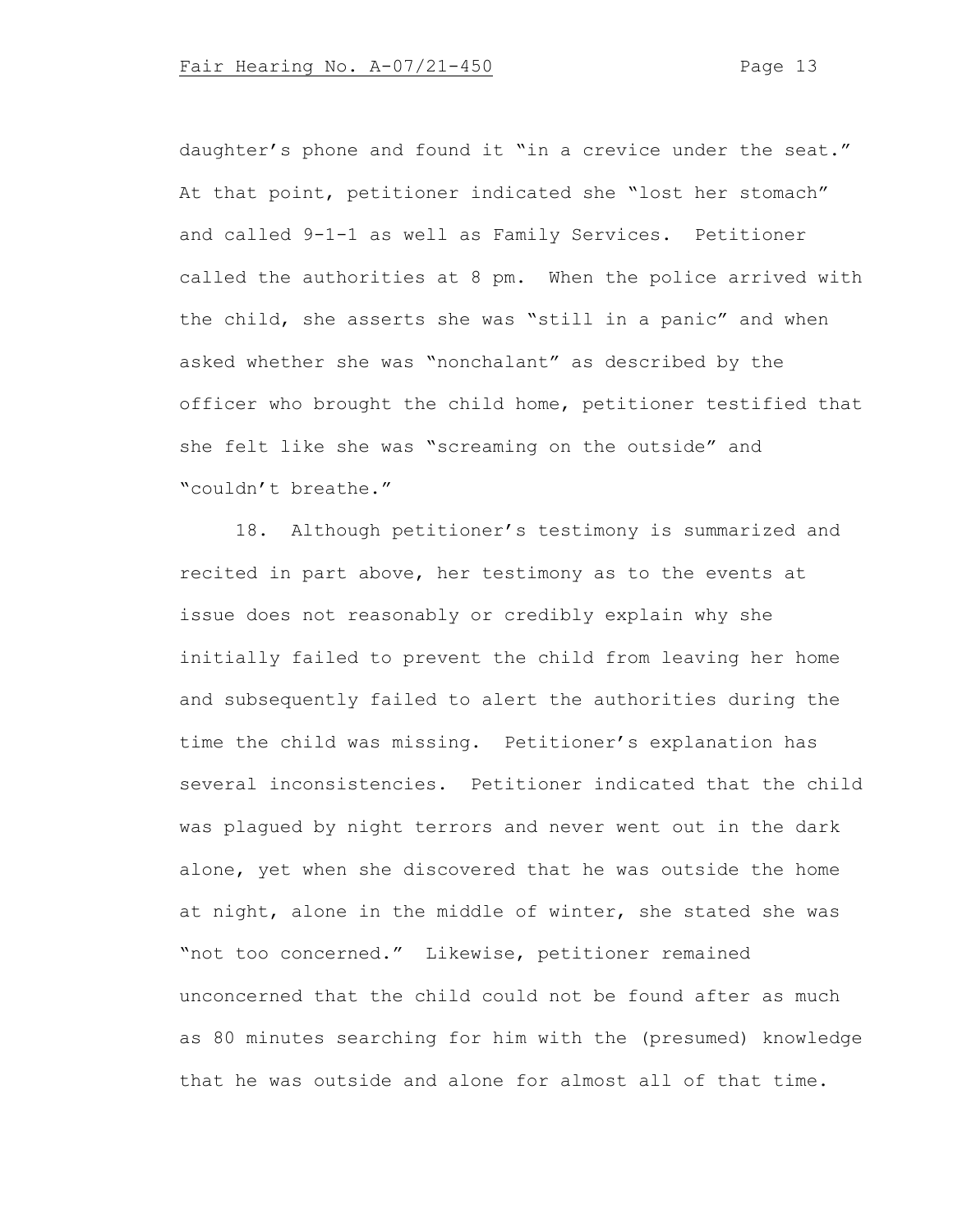daughter's phone and found it "in a crevice under the seat." At that point, petitioner indicated she "lost her stomach" and called 9-1-1 as well as Family Services. Petitioner called the authorities at 8 pm. When the police arrived with the child, she asserts she was "still in a panic" and when asked whether she was "nonchalant" as described by the officer who brought the child home, petitioner testified that she felt like she was "screaming on the outside" and "couldn't breathe."

18. Although petitioner's testimony is summarized and recited in part above, her testimony as to the events at issue does not reasonably or credibly explain why she initially failed to prevent the child from leaving her home and subsequently failed to alert the authorities during the time the child was missing. Petitioner's explanation has several inconsistencies. Petitioner indicated that the child was plagued by night terrors and never went out in the dark alone, yet when she discovered that he was outside the home at night, alone in the middle of winter, she stated she was "not too concerned." Likewise, petitioner remained unconcerned that the child could not be found after as much as 80 minutes searching for him with the (presumed) knowledge that he was outside and alone for almost all of that time.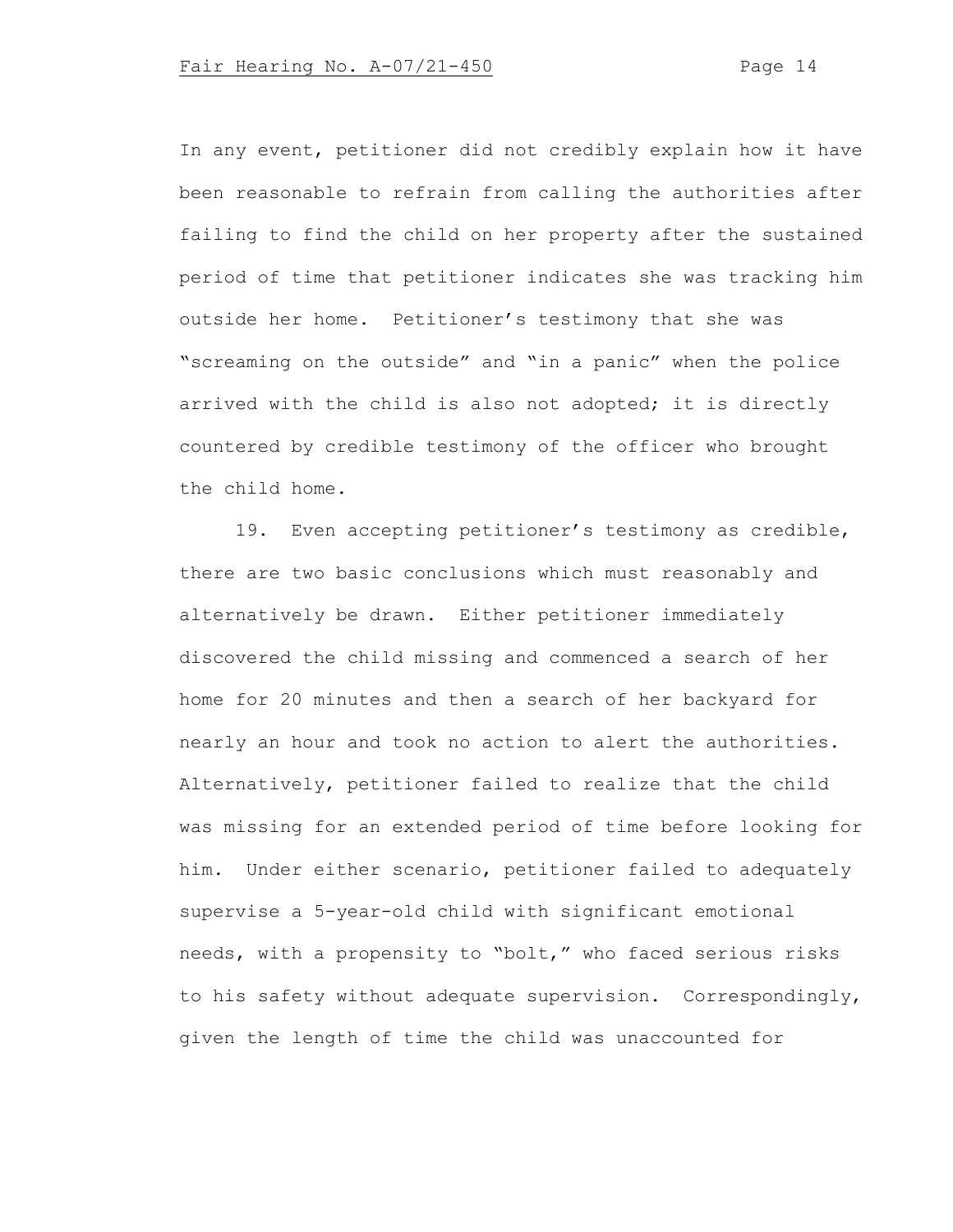In any event, petitioner did not credibly explain how it have been reasonable to refrain from calling the authorities after failing to find the child on her property after the sustained period of time that petitioner indicates she was tracking him outside her home. Petitioner's testimony that she was "screaming on the outside" and "in a panic" when the police arrived with the child is also not adopted; it is directly countered by credible testimony of the officer who brought the child home.

19. Even accepting petitioner's testimony as credible, there are two basic conclusions which must reasonably and alternatively be drawn. Either petitioner immediately discovered the child missing and commenced a search of her home for 20 minutes and then a search of her backyard for nearly an hour and took no action to alert the authorities. Alternatively, petitioner failed to realize that the child was missing for an extended period of time before looking for him. Under either scenario, petitioner failed to adequately supervise a 5-year-old child with significant emotional needs, with a propensity to "bolt," who faced serious risks to his safety without adequate supervision. Correspondingly, given the length of time the child was unaccounted for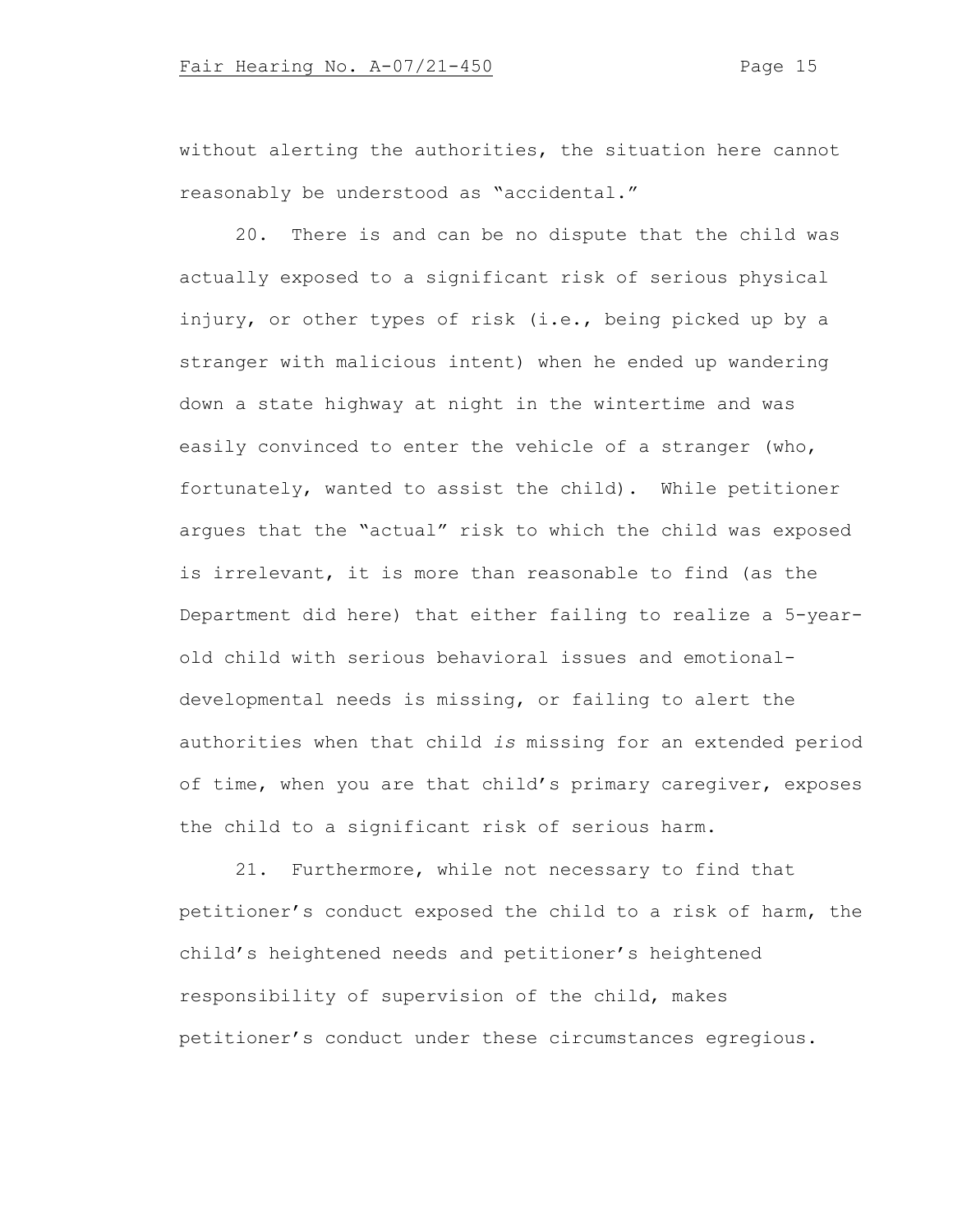without alerting the authorities, the situation here cannot reasonably be understood as "accidental."

20. There is and can be no dispute that the child was actually exposed to a significant risk of serious physical injury, or other types of risk (i.e., being picked up by a stranger with malicious intent) when he ended up wandering down a state highway at night in the wintertime and was easily convinced to enter the vehicle of a stranger (who, fortunately, wanted to assist the child). While petitioner argues that the "actual" risk to which the child was exposed is irrelevant, it is more than reasonable to find (as the Department did here) that either failing to realize a 5-yearold child with serious behavioral issues and emotionaldevelopmental needs is missing, or failing to alert the authorities when that child *is* missing for an extended period of time, when you are that child's primary caregiver, exposes the child to a significant risk of serious harm.

21. Furthermore, while not necessary to find that petitioner's conduct exposed the child to a risk of harm, the child's heightened needs and petitioner's heightened responsibility of supervision of the child, makes petitioner's conduct under these circumstances egregious.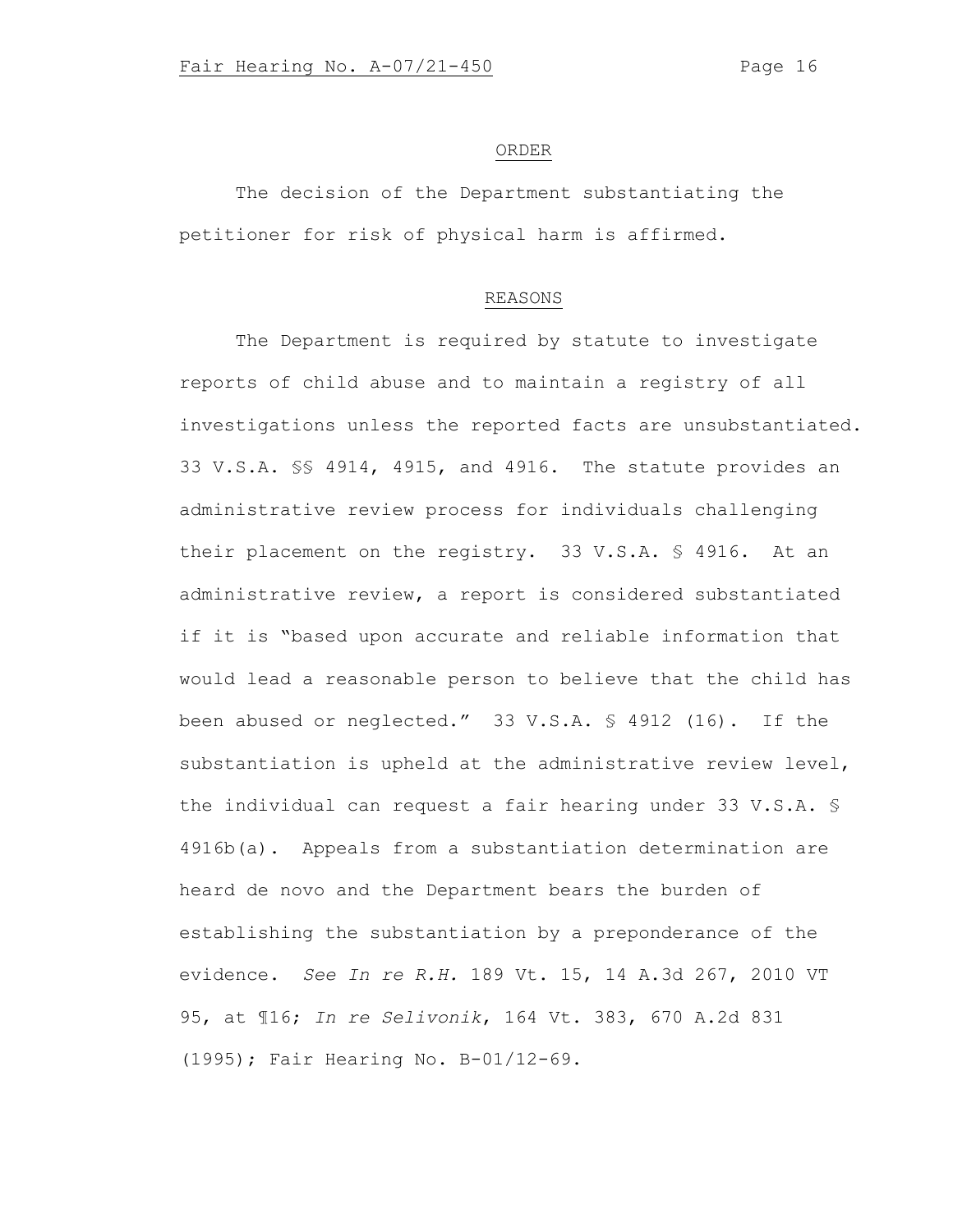### ORDER

The decision of the Department substantiating the petitioner for risk of physical harm is affirmed.

## REASONS

The Department is required by statute to investigate reports of child abuse and to maintain a registry of all investigations unless the reported facts are unsubstantiated. 33 V.S.A. §§ 4914, 4915, and 4916. The statute provides an administrative review process for individuals challenging their placement on the registry. 33 V.S.A. § 4916. At an administrative review, a report is considered substantiated if it is "based upon accurate and reliable information that would lead a reasonable person to believe that the child has been abused or neglected." 33 V.S.A. § 4912 (16). If the substantiation is upheld at the administrative review level, the individual can request a fair hearing under 33 V.S.A. § 4916b(a). Appeals from a substantiation determination are heard de novo and the Department bears the burden of establishing the substantiation by a preponderance of the evidence. *See In re R.H.* 189 Vt. 15, 14 A.3d 267, 2010 VT 95, at ¶16; *In re Selivonik*, 164 Vt. 383, 670 A.2d 831 (1995); Fair Hearing No. B-01/12-69.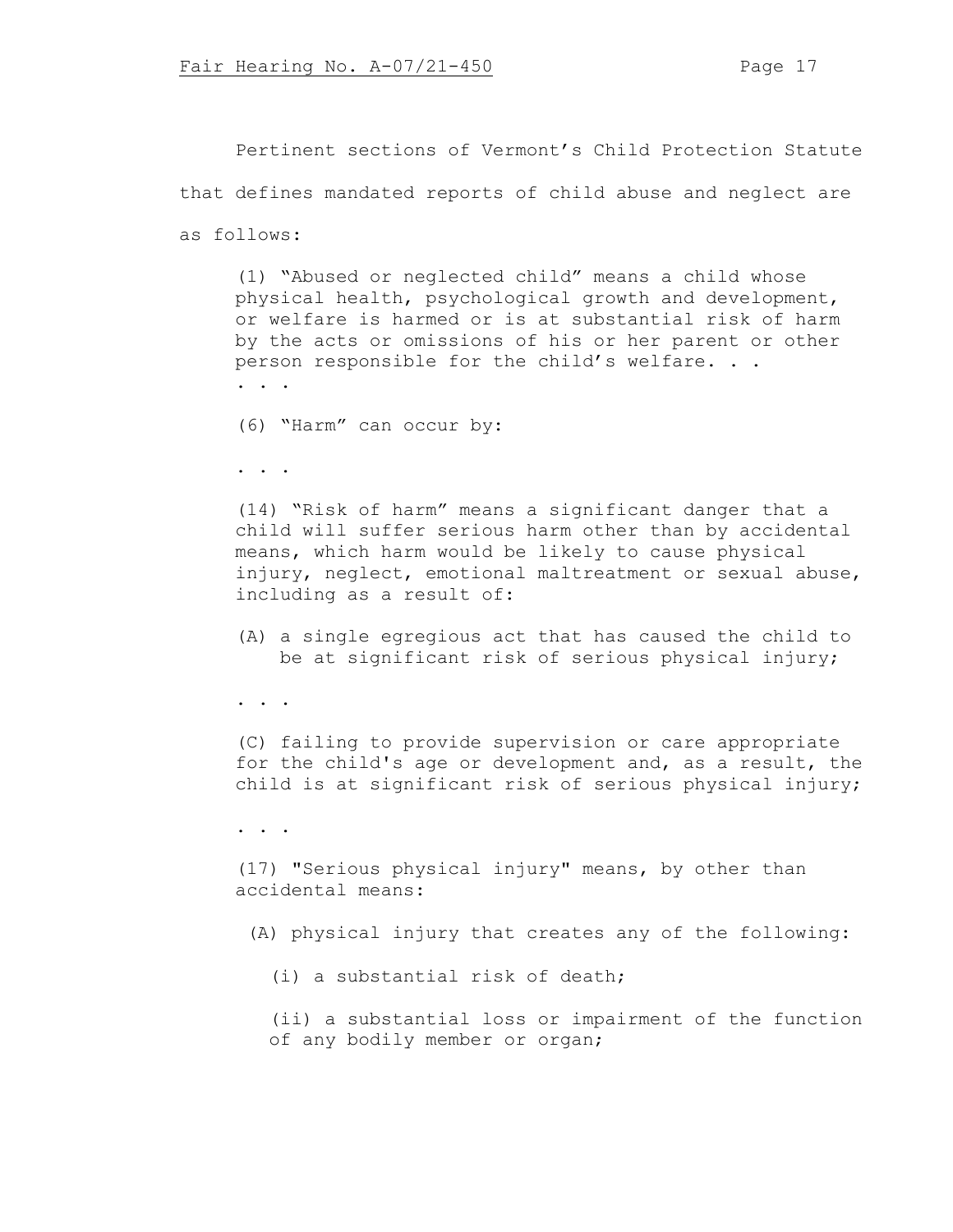Pertinent sections of Vermont's Child Protection Statute that defines mandated reports of child abuse and neglect are as follows:

(1) "Abused or neglected child" means a child whose physical health, psychological growth and development, or welfare is harmed or is at substantial risk of harm by the acts or omissions of his or her parent or other person responsible for the child's welfare. . . . . .

(6) "Harm" can occur by:

. . .

(14) "Risk of harm" means a significant danger that a child will suffer serious harm other than by accidental means, which harm would be likely to cause physical injury, neglect, emotional maltreatment or sexual abuse, including as a result of:

(A) a single egregious act that has caused the child to be at significant risk of serious physical injury;

. . .

(C) failing to provide supervision or care appropriate for the child's age or development and, as a result, the child is at significant risk of serious physical injury;

. . .

(17) "Serious physical injury" means, by other than accidental means:

(A) physical injury that creates any of the following:

(i) a substantial risk of death;

(ii) a substantial loss or impairment of the function of any bodily member or organ;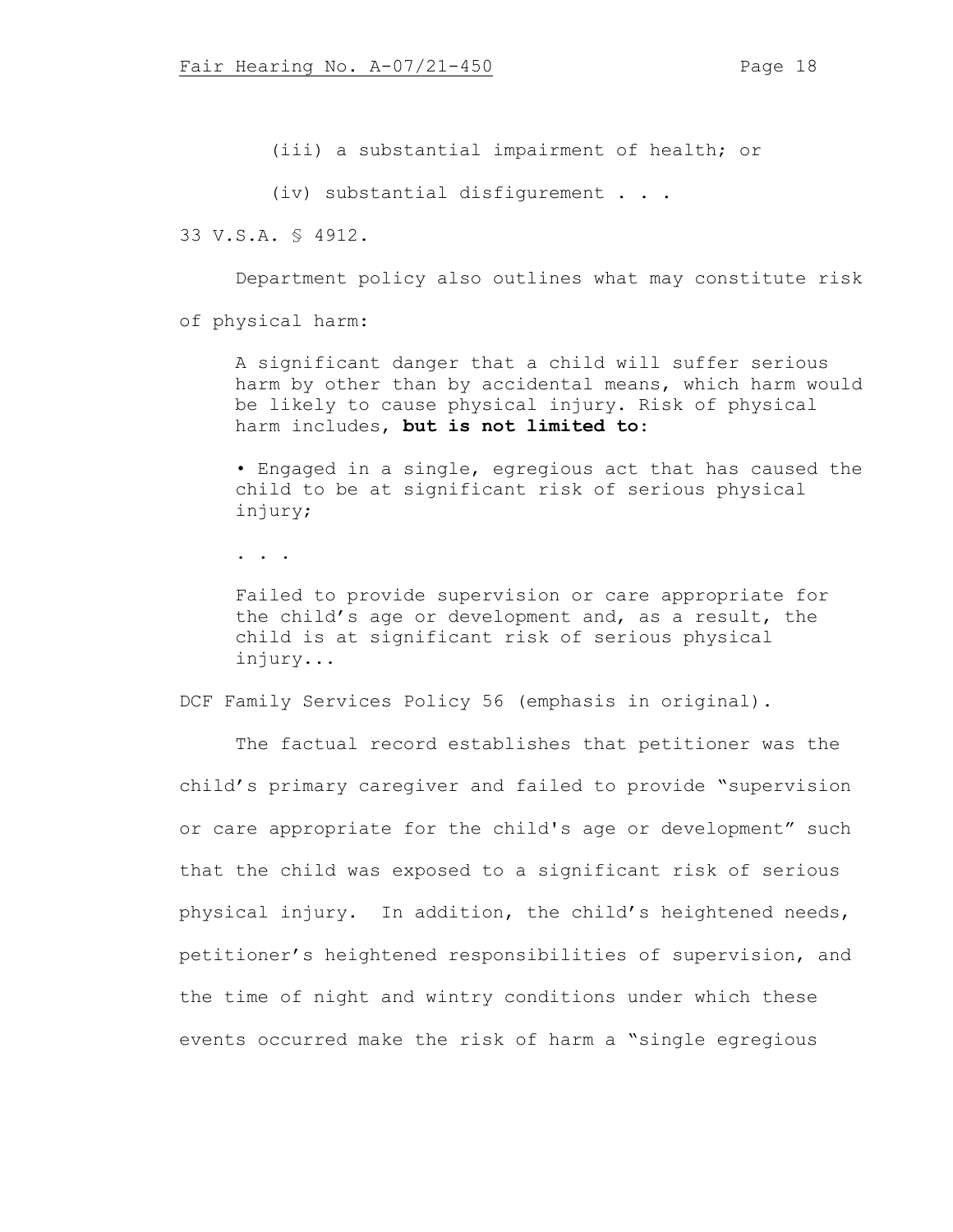(iii) a substantial impairment of health; or

(iv) substantial disfigurement . . .

33 V.S.A. § 4912.

Department policy also outlines what may constitute risk

of physical harm:

A significant danger that a child will suffer serious harm by other than by accidental means, which harm would be likely to cause physical injury. Risk of physical harm includes, **but is not limited to**:

• Engaged in a single, egregious act that has caused the child to be at significant risk of serious physical injury;

. . .

Failed to provide supervision or care appropriate for the child's age or development and, as a result, the child is at significant risk of serious physical injury...

DCF Family Services Policy 56 (emphasis in original).

The factual record establishes that petitioner was the child's primary caregiver and failed to provide "supervision or care appropriate for the child's age or development" such that the child was exposed to a significant risk of serious physical injury. In addition, the child's heightened needs, petitioner's heightened responsibilities of supervision, and the time of night and wintry conditions under which these events occurred make the risk of harm a "single egregious